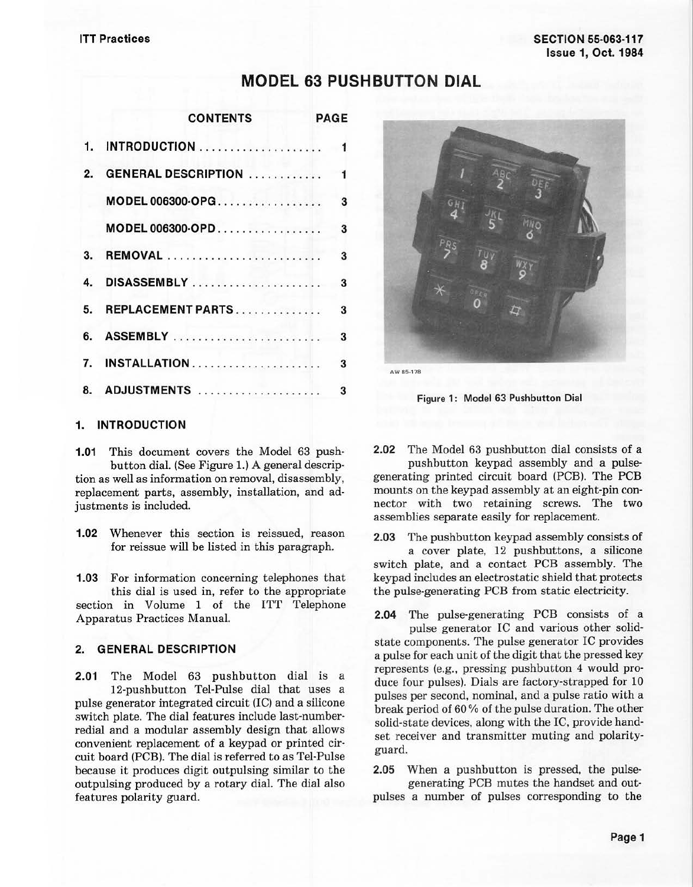# **MODEL 63 PUSHBUTTON DIAL**

|    | <b>CONTENTS</b><br><b>PAGE</b> |  |
|----|--------------------------------|--|
| 1. | <b>INTRODUCTION</b> 1          |  |
| 2. | <b>GENERAL DESCRIPTION</b> 1   |  |
|    |                                |  |
|    | 3<br>MODEL 006300-OPD          |  |
|    | 3                              |  |
|    |                                |  |
|    | 5. REPLACEMENT PARTS<br>3      |  |
| 6. | <b>ASSEMBLY</b><br>3           |  |
| 7. | <b>INSTALLATION</b><br>3       |  |
|    | 8. ADJUSTMENTS<br>3            |  |



**Figure 1: Model 63 Pushbutton Dial** 

#### **1. INTRODUCTION**

**1.01** This document covers the Model 63 pushbutton dial. (See Figure 1.) A general descrip· tion as well as information on removal, disassembly, replacement parts, assembly, installation, and adjustments is included.

**1.02** Whenever this section is reissued, reason for reissue will be listed in this paragraph.

**1.03** For information concerning telephones that this dial is used in, refer to the appropriate section in Volume 1 of the ITT Telephone Apparatus Practices Manual.

#### **2. GENERAL DESCRIPTION**

**2.01** The Model 63 pushbutton dial is a 12-pushbutton Tel-Pulse dial that uses a pulse generator integrated circuit (IC) and a silicone switch plate. The dial features include last-number· redial and a modular assembly design that allows convenient replacement of a keypad or printed cir· cuit board (PCB). The dial is referred to as Tel-Pulse because it produces digit outpulsing similar to the outpulsing produced by a rotary dial. The dial also features polarity guard.

**2.02** The Model 63 pushbutton dial consists of a

pushbutton keypad assembly and a pulsegenerating printed circuit board (PCB). The PCB mounts on the keypad assembly at an eight-pin con· nector with two retaining screws. The two assemblies separate easily for replacement.

**2.03** The pushbutton keypad assembly consists of a cover plate, 12 pushbuttons, a silicone switch plate, and a contact PCB assembly. The keypad includes an electrostatic shield that protects the pulse-generating PCB from static electricity.

**2.04** The pulse-generating PCB consists of a pulse generator IC and various other solidstate components. The pulse generator IC provides a pulse for each unit of the digit that the pressed key represents (e.g., pressing pushbutton 4 would pro· duce four pulses). Dials are factory-strapped for 10 pulses per second, nominal, and a pulse ratio with a break period of 60 % of the pulse duration. The other solid-state devices, along with the IC, provide hand· set receiver and transmitter muting and polarity· guard.

**2.05** When a pushbutton is pressed, the pulsegenerating PCB mutes the handset and out-

pulses a number of pulses corresponding to the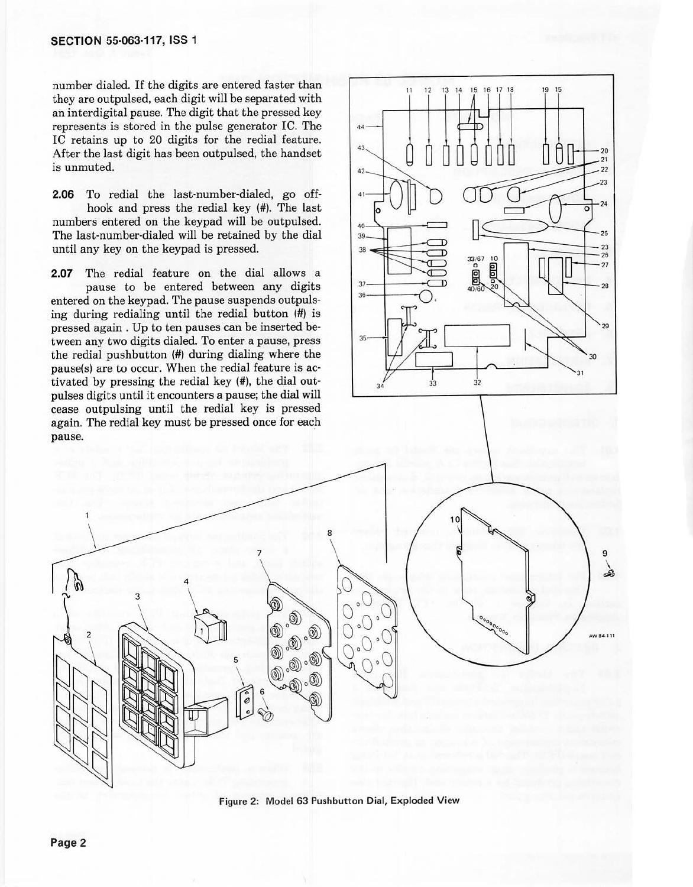number dialed. If the digits are entered faster than they are outpulsed, each digit will be separated with an interdigital pause. The digit that the pressed key represents is stored in the pulse generator IC. The IC retains up *to* 20 digits for the redial feature. After the last digit has been outpulsed, the handset is unmuted.

**2.06** To redial the last-number-dialed, go offhook and press the redial key (#). The last numbers entered on the keypad will be outpulsed. The last-number-dialed will be retained by the dial until any key on the keypad is pressed.

**2.07** The redial feature on the dial allows a pause to be entered between any digits entered on the keypad. The pause suspends outpulsing during redialing until the redial button (#) is pressed again. Up *to* ten pauses can be inserted between any two digits dialed. To enter a pause, press the redial pushbutton (#) during dialing where the pause(s) are to occur. When the redial feature is activated by pressing the redial key (#), the dial outpulses digits until it encounters a pause; the dial will cease outpulsing until the redial key is pressed again. The redial key must be pressed once for each pause.





Figure 2: Model 63 Pushbutton Dial, Exploded View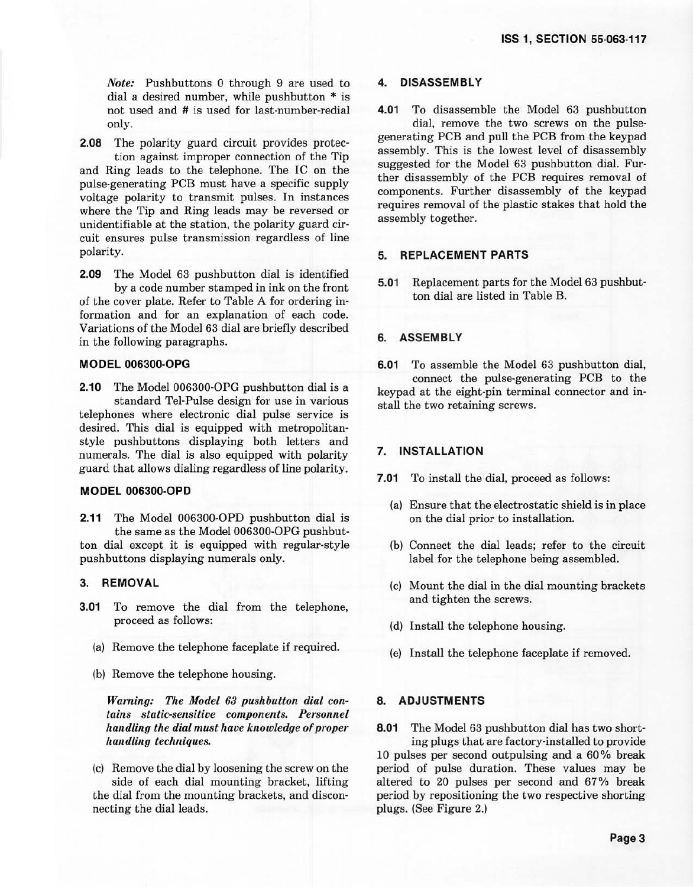*Note:* Pushbuttons 0 through 9 are used to dial a desired number, while pushbutton \* is not used and # is used for last-number-redial only.

**2.08** The polarity guard circuit provides protection against improper connection of the Tip and Ring leads to the telephone. The IC on the pulse-generating PCB must have a specific supply voltage polarity to transmit pulses. In instances where the Tip and Ring leads may be reversed or unidentifiable at the station, the polarity guard circuit ensures pulse transmission regardless of line polarity.

**2.09** The Model 63 pushbutton dial is identified by a code number stamped in ink on the front of the cover plate. Refer to Table A for ordering in· formation and for an explanation of each code. Variations of the Model 63 dial are briefly described

#### **MODEL 006300-OPG**

in the following paragraphs.

**2.10** The Model 006300-OPG pushbutton dial is a standard Tel-Pulse design for use in various telephones where electronic dial pulse service is desired. This dial is equipped with metropolitanstyle pushbuttons displaying both letters and numerals. The dial is also equipped with polarity guard that allows dialing regardless of line polarity.

#### **MODEL 006300-OPD**

**2.11** The Model 006300-OPD pushbutton dial is the same as the Model 006300-OPG pushbutton dial except it is equipped with regular-style pushbuttons displaying numerals only.

### **3. REMOVAL**

- **3.01** To remove the dial from the telephone, proceed as follows:
	- (a) Remove the telephone faceplate if required.
	- (b) Remove the telephone housing.

*Warning: The Model 63 pushbutton dial contains static-sensitive components. Personnel handling the dial must have knowledge of proper handling techniques.* 

(c) Remove the dial by loosening the screw on the side of each dial mounting bracket, lifting the dial from the mounting brackets, and disconnecting the dial leads.

#### **4. DISASSEMBLY**

**4.01** To disassemble the Model 63 pushbutton dial, remove the two screws on the pulsegenerating PCB and pull the PCB from the keypad assembly. This is the lowest level of disassembly suggested for the Model 63 pushbutton dial. Further disassembly of the PCB requires removal of components. Further disassembly of the keypad requires removal of the plastic stakes that hold the assembly together.

#### **5. REPLACEMENT PARTS**

**5.01** Replacement parts for the Model 63 pushbutton dial are listed in Table B.

#### **6. ASSEMBLY**

**6.01** To assemble the Model 63 pushbutton dial, connect the pulse-generating PCB to the keypad at the eight-pin terminal connector and install the two retaining screws.

### **7. INSTALLATION**

- **7.01** To install the dial, proceed as follows:
	- (a) Ensure that the electrostatic shield is in place on the dial prior to installation.
	- (b) Connect the dial leads; refer to the circuit label for the telephone being assembled.
	- (c) Mount the dial in the dial mounting brackets and tighten the screws.
	- (d) Install the telephone housing.
	- (e) Install the telephone faceplate if removed.

#### **8. ADJUSTMENTS**

**8.01** The Model 63 pushbutton dial has two shorting plugs that are factory-installed to provide 10 pulses per second outpulsing and a 60% break period of pulse duration. These values may be altered to 20 pulses per second and 67 % break period by repositioning the two respective shorting plugs. (See Figure 2.)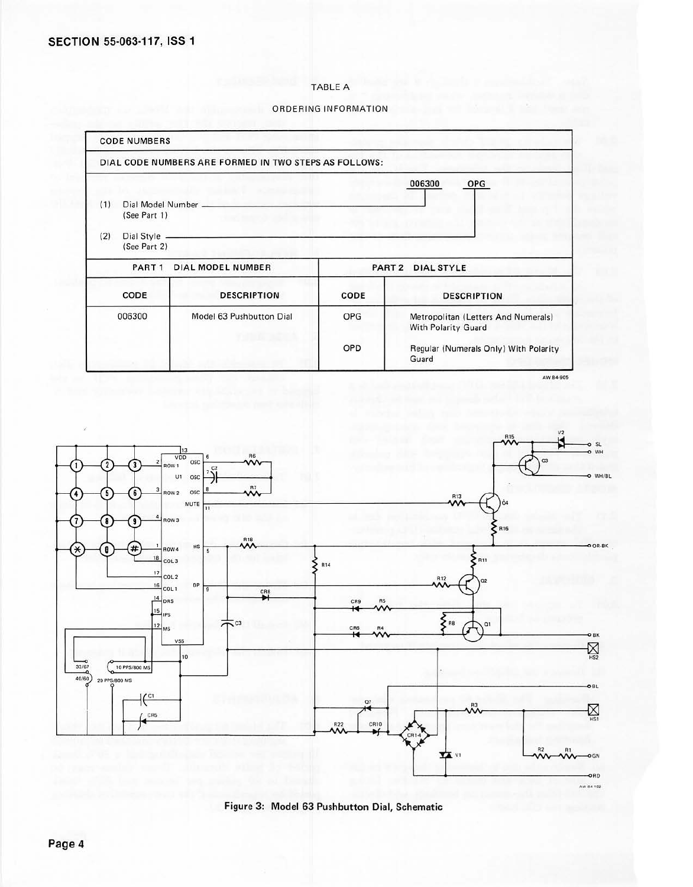#### TABLE A

ORDERING INFORMATION





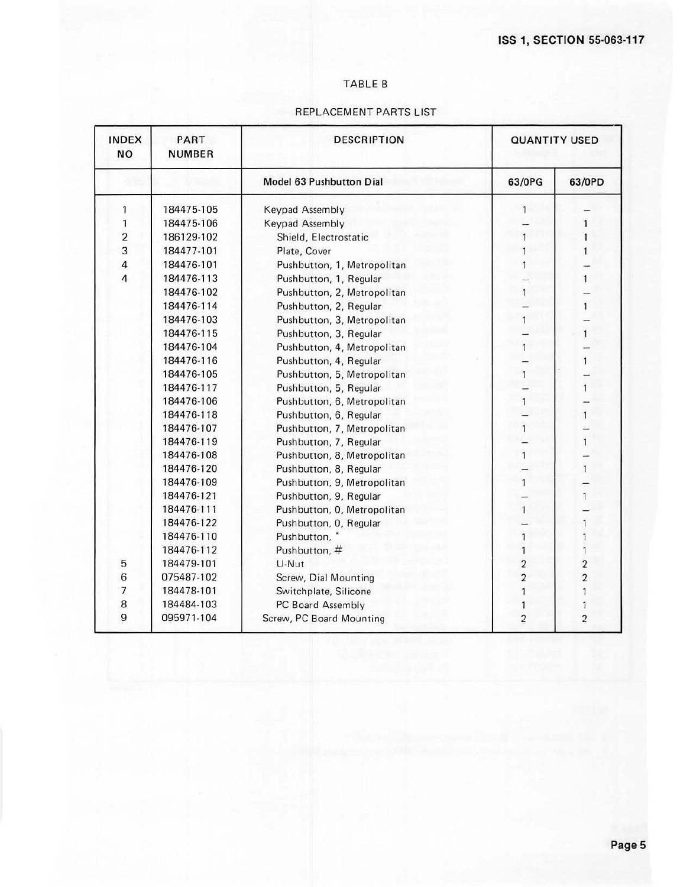### TABLE B

## REPLACEMENT PARTS LIST

| <b>INDEX</b><br><b>NO</b> | PART<br><b>NUMBER</b> | <b>DESCRIPTION</b>          |                         | <b>QUANTITY USED</b> |  |
|---------------------------|-----------------------|-----------------------------|-------------------------|----------------------|--|
|                           |                       | Model 63 Pushbutton Dial    | 63/0PG                  | 63/0PD               |  |
| 1                         | 184475-105            | Keypad Assembly             | 1                       |                      |  |
| 1                         | 184475-106            | Keypad Assembly             |                         |                      |  |
| $\overline{\mathbf{c}}$   | 186129-102            | Shield, Electrostatic       |                         |                      |  |
| 3                         | 184477-101            | Plate, Cover                |                         |                      |  |
| 4                         | 184476-101            | Pushbutton, 1, Metropolitan |                         |                      |  |
| 4                         | 184476-113            | Pushbutton, 1, Regular      |                         | 1                    |  |
|                           | 184476-102            | Pushbutton, 2, Metropolitan |                         |                      |  |
|                           | 184476-114            | Pushbutton, 2, Regular      |                         | 1                    |  |
|                           | 184476-103            | Pushbutton, 3, Metropolitan |                         |                      |  |
|                           | 184476-115            | Pushbutton, 3, Regular      |                         | 1                    |  |
|                           | 184476-104            | Pushbutton, 4, Metropolitan | 1                       |                      |  |
|                           | 184476-116            | Pushbutton, 4, Regular      |                         | 1                    |  |
|                           | 184476-105            | Pushbutton, 5, Metropolitan | 1                       |                      |  |
|                           | 184476-117            | Pushbutton, 5, Regular      |                         | 1                    |  |
|                           | 184476-106            | Pushbutton, 6, Metropolitan |                         |                      |  |
|                           | 184476-118            | Pushbutton, 6, Regular      |                         | 1                    |  |
|                           | 184476-107            | Pushbutton, 7, Metropolitan | 1                       |                      |  |
|                           | 184476-119            | Pushbutton, 7, Regular      |                         | 1                    |  |
|                           | 184476-108            | Pushbutton, 8, Metropolitan | 1                       |                      |  |
|                           | 184476-120            | Pushbutton, 8, Regular      |                         | 1                    |  |
|                           | 184476-109            | Pushbutton, 9, Metropolitan | 1                       |                      |  |
|                           | 184476-121            | Pushbutton, 9, Regular      |                         | 1                    |  |
|                           | 184476-111            | Pushbutton, O, Metropolitan | 1                       |                      |  |
|                           | 184476-122            | Pushbutton, O, Regular      |                         | 1                    |  |
|                           | 184476-110            | Pushbutton,                 |                         |                      |  |
|                           | 184476-112            | Pushbutton, #               |                         |                      |  |
| 5                         | 184479-101            | U-Nut                       | $\overline{\mathbf{c}}$ | $\mathbf 2$          |  |
| 6                         | 075487-102            | Screw, Dial Mounting        | $\overline{c}$          | 2                    |  |
| 7                         | 184478-101            | Switchplate, Silicone       |                         | 1                    |  |
| 8                         | 184484-103            | PC Board Assembly           |                         | 1                    |  |
| 9                         | 095971-104            | Screw, PC Board Mounting    | 2                       | $\overline{2}$       |  |